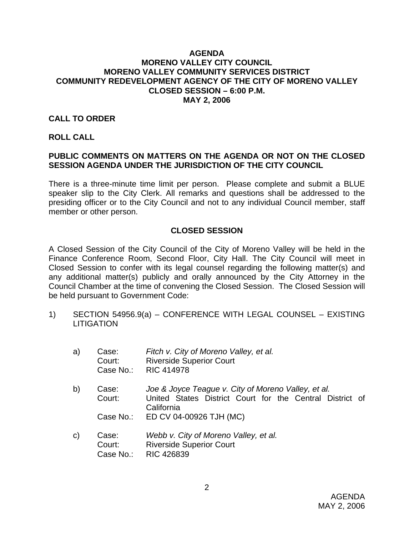#### **AGENDA MORENO VALLEY CITY COUNCIL MORENO VALLEY COMMUNITY SERVICES DISTRICT COMMUNITY REDEVELOPMENT AGENCY OF THE CITY OF MORENO VALLEY CLOSED SESSION – 6:00 P.M. MAY 2, 2006**

#### **CALL TO ORDER**

#### **ROLL CALL**

# **PUBLIC COMMENTS ON MATTERS ON THE AGENDA OR NOT ON THE CLOSED SESSION AGENDA UNDER THE JURISDICTION OF THE CITY COUNCIL**

There is a three-minute time limit per person. Please complete and submit a BLUE speaker slip to the City Clerk. All remarks and questions shall be addressed to the presiding officer or to the City Council and not to any individual Council member, staff member or other person.

## **CLOSED SESSION**

A Closed Session of the City Council of the City of Moreno Valley will be held in the Finance Conference Room, Second Floor, City Hall. The City Council will meet in Closed Session to confer with its legal counsel regarding the following matter(s) and any additional matter(s) publicly and orally announced by the City Attorney in the Council Chamber at the time of convening the Closed Session. The Closed Session will be held pursuant to Government Code:

1) SECTION 54956.9(a) – CONFERENCE WITH LEGAL COUNSEL – EXISTING **LITIGATION** 

| a)           | Case:<br>Court: | Fitch v. City of Moreno Valley, et al.<br><b>Riverside Superior Court</b><br>Case No.: RIC 414978                             |
|--------------|-----------------|-------------------------------------------------------------------------------------------------------------------------------|
| b)           | Case:<br>Court: | Joe & Joyce Teague v. City of Moreno Valley, et al.<br>United States District Court for the Central District of<br>California |
|              | Case No.:       | ED CV 04-00926 TJH (MC)                                                                                                       |
| $\mathsf{C}$ | Case:<br>Court: | Webb v. City of Moreno Valley, et al.<br><b>Riverside Superior Court</b>                                                      |

Case No.: RIC 426839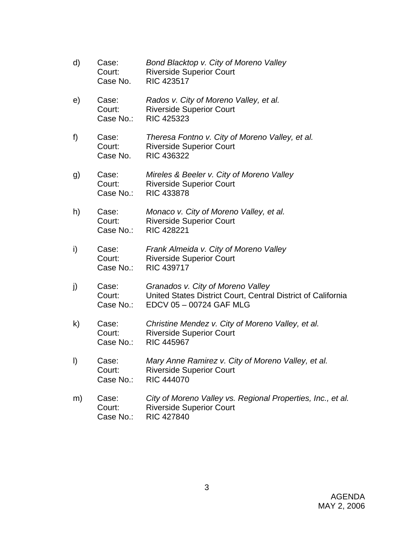| d) | Case:<br>Court:<br>Case No.  | Bond Blacktop v. City of Moreno Valley<br><b>Riverside Superior Court</b><br><b>RIC 423517</b>                               |
|----|------------------------------|------------------------------------------------------------------------------------------------------------------------------|
| e) | Case:<br>Court:<br>Case No.: | Rados v. City of Moreno Valley, et al.<br><b>Riverside Superior Court</b><br><b>RIC 425323</b>                               |
| f) | Case:<br>Court:<br>Case No.  | Theresa Fontno v. City of Moreno Valley, et al.<br><b>Riverside Superior Court</b><br><b>RIC 436322</b>                      |
| g) | Case:<br>Court:<br>Case No.: | Mireles & Beeler v. City of Moreno Valley<br><b>Riverside Superior Court</b><br><b>RIC 433878</b>                            |
| h) | Case:<br>Court:<br>Case No.: | Monaco v. City of Moreno Valley, et al.<br><b>Riverside Superior Court</b><br><b>RIC 428221</b>                              |
| i) | Case:<br>Court:<br>Case No.: | Frank Almeida v. City of Moreno Valley<br><b>Riverside Superior Court</b><br><b>RIC 439717</b>                               |
| j) | Case:<br>Court:<br>Case No.: | Granados v. City of Moreno Valley<br>United States District Court, Central District of California<br>EDCV 05 - 00724 GAF MLG |
| k) | Case:<br>Court:<br>Case No.: | Christine Mendez v. City of Moreno Valley, et al.<br><b>Riverside Superior Court</b><br><b>RIC 445967</b>                    |
| I) | Case:<br>Court:<br>Case No.: | Mary Anne Ramirez v. City of Moreno Valley, et al.<br><b>Riverside Superior Court</b><br><b>RIC 444070</b>                   |
| m) | Case:<br>Court:<br>Case No.: | City of Moreno Valley vs. Regional Properties, Inc., et al.<br><b>Riverside Superior Court</b><br><b>RIC 427840</b>          |